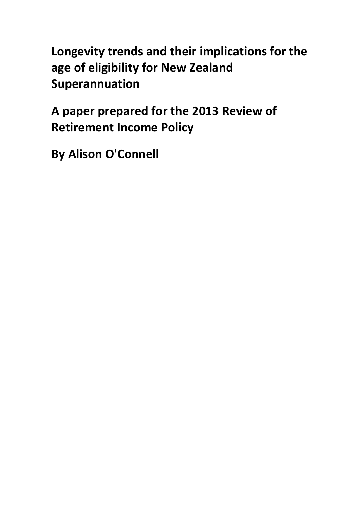**Longevity trends and their implications for the age of eligibility for New Zealand Superannuation**

**A paper prepared for the 2013 Review of Retirement Income Policy**

**By Alison O'Connell**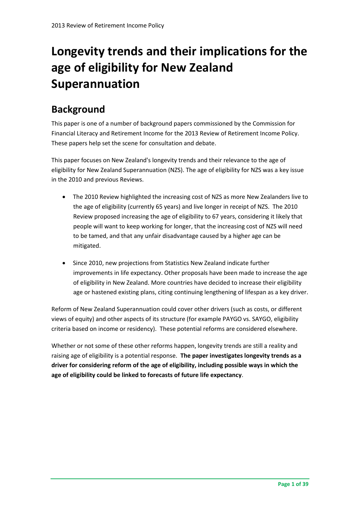# **Longevity trends and their implications for the age of eligibility for New Zealand Superannuation**

## **Background**

This paper is one of a number of background papers commissioned by the Commission for Financial Literacy and Retirement Income for the 2013 Review of Retirement Income Policy. These papers help set the scene for consultation and debate.

This paper focuses on New Zealand's longevity trends and their relevance to the age of eligibility for New Zealand Superannuation (NZS). The age of eligibility for NZS was a key issue in the 2010 and previous Reviews.

- The 2010 Review highlighted the increasing cost of NZS as more New Zealanders live to the age of eligibility (currently 65 years) and live longer in receipt of NZS. The 2010 Review proposed increasing the age of eligibility to 67 years, considering it likely that people will want to keep working for longer, that the increasing cost of NZS will need to be tamed, and that any unfair disadvantage caused by a higher age can be mitigated.
- Since 2010, new projections from Statistics New Zealand indicate further improvements in life expectancy. Other proposals have been made to increase the age of eligibility in New Zealand. More countries have decided to increase their eligibility age or hastened existing plans, citing continuing lengthening of lifespan as a key driver.

Reform of New Zealand Superannuation could cover other drivers (such as costs, or different views of equity) and other aspects of its structure (for example PAYGO vs. SAYGO, eligibility criteria based on income or residency). These potential reforms are considered elsewhere.

Whether or not some of these other reforms happen, longevity trends are still a reality and raising age of eligibility is a potential response. **The paper investigates longevity trends as a driver for considering reform of the age of eligibility, including possible ways in which the age of eligibility could be linked to forecasts of future life expectancy**.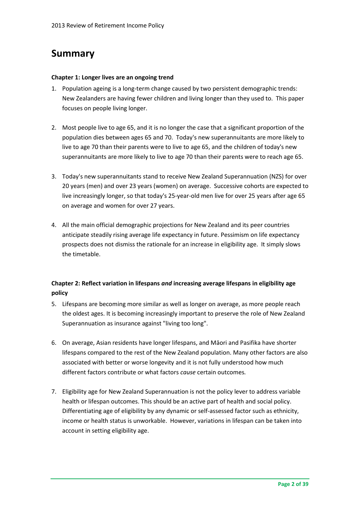### **Summary**

#### **Chapter 1: Longer lives are an ongoing trend**

- 1. Population ageing is a long-term change caused by two persistent demographic trends: New Zealanders are having fewer children and living longer than they used to. This paper focuses on people living longer.
- 2. Most people live to age 65, and it is no longer the case that a significant proportion of the population dies between ages 65 and 70. Today's new superannuitants are more likely to live to age 70 than their parents were to live to age 65, and the children of today's new superannuitants are more likely to live to age 70 than their parents were to reach age 65.
- 3. Today's new superannuitants stand to receive New Zealand Superannuation (NZS) for over 20 years (men) and over 23 years (women) on average. Successive cohorts are expected to live increasingly longer, so that today's 25-year-old men live for over 25 years after age 65 on average and women for over 27 years.
- 4. All the main official demographic projections for New Zealand and its peer countries anticipate steadily rising average life expectancy in future. Pessimism on life expectancy prospects does not dismiss the rationale for an increase in eligibility age. It simply slows the timetable.

### **Chapter 2: Reflect variation in lifespans** *and* **increasing average lifespans in eligibility age policy**

- 5. Lifespans are becoming more similar as well as longer on average, as more people reach the oldest ages. It is becoming increasingly important to preserve the role of New Zealand Superannuation as insurance against "living too long".
- 6. On average, Asian residents have longer lifespans, and Māori and Pasifika have shorter lifespans compared to the rest of the New Zealand population. Many other factors are also associated with better or worse longevity and it is not fully understood how much different factors contribute or what factors *cause* certain outcomes*.*
- 7. Eligibility age for New Zealand Superannuation is not the policy lever to address variable health or lifespan outcomes. This should be an active part of health and social policy. Differentiating age of eligibility by any dynamic or self-assessed factor such as ethnicity, income or health status is unworkable. However, variations in lifespan can be taken into account in setting eligibility age.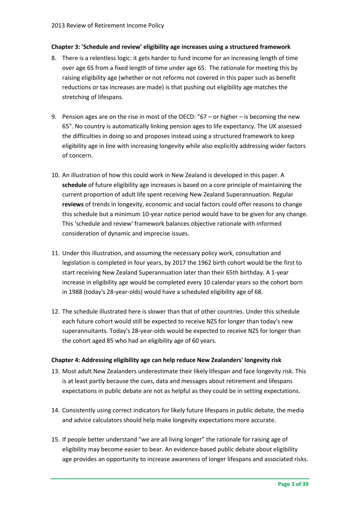### **Chapter 3: 'Schedule and review' eligibility age increases using a structured framework**

- 8. There is a relentless logic: it gets harder to fund income for an increasing length of time over age 65 from a fixed length of time under age 65. The rationale for meeting this by raising eligibility age (whether or not reforms not covered in this paper such as benefit reductions or tax increases are made) is that pushing out eligibility age matches the stretching of lifespans.
- 9. Pension ages are on the rise in most of the OECD: "67 or higher is becoming the new 65". No country is automatically linking pension ages to life expectancy. The UK assessed the difficulties in doing so and proposes instead using a structured framework to keep eligibility age in line with increasing longevity while also explicitly addressing wider factors of concern.
- 10. An illustration of how this could work in New Zealand is developed in this paper. A **schedule** of future eligibility age increases is based on a core principle of maintaining the current proportion of adult life spent receiving New Zealand Superannuation. Regular **reviews** of trends in longevity, economic and social factors could offer reasons to change this schedule but a minimum 10-year notice period would have to be given for any change. This 'schedule and review' framework balances objective rationale with informed consideration of dynamic and imprecise issues.
- 11. Under this illustration, and assuming the necessary policy work, consultation and legislation is completed in four years, by 2017 the 1962 birth cohort would be the first to start receiving New Zealand Superannuation later than their 65th birthday. A 1-year increase in eligibility age would be completed every 10 calendar years so the cohort born in 1988 (today's 28-year-olds) would have a scheduled eligibility age of 68.
- 12. The schedule illustrated here is slower than that of other countries. Under this schedule each future cohort would still be expected to receive NZS for longer than today's new superannuitants. Today's 28-year-olds would be expected to receive NZS for longer than the cohort aged 85 who had an eligibility age of 60 years.

#### **Chapter 4: Addressing eligibility age can help reduce New Zealanders' longevity risk**

- 13. Most adult New Zealanders underestimate their likely lifespan and face longevity risk. This is at least partly because the cues, data and messages about retirement and lifespans expectations in public debate are not as helpful as they could be in setting expectations.
- 14. Consistently using correct indicators for likely future lifespans in public debate, the media and advice calculators should help make longevity expectations more accurate.
- 15. If people better understand "we are all living longer" the rationale for raising age of eligibility may become easier to bear. An evidence-based public debate about eligibility age provides an opportunity to increase awareness of longer lifespans and associated risks.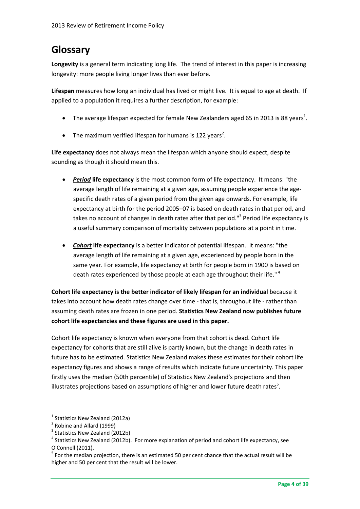## **Glossary**

**Longevity** is a general term indicating long life. The trend of interest in this paper is increasing longevity: more people living longer lives than ever before.

**Lifespan** measures how long an individual has lived or might live. It is equal to age at death. If applied to a population it requires a further description, for example:

- $\bullet$  The average lifespan expected for female New Zealanders aged 65 in 2013 is 88 years<sup>1</sup>.
- The maximum verified lifespan for humans is 122 years<sup>2</sup>.

**Life expectancy** does not always mean the lifespan which anyone should expect, despite sounding as though it should mean this.

- *Period* **life expectancy** is the most common form of life expectancy. It means: "the average length of life remaining at a given age, assuming people experience the agespecific death rates of a given period from the given age onwards. For example, life expectancy at birth for the period 2005–07 is based on death rates in that period, and takes no account of changes in death rates after that period."<sup>3</sup> Period life expectancy is a useful summary comparison of mortality between populations at a point in time.
- *Cohort* **life expectancy** is a better indicator of potential lifespan. It means: "the average length of life remaining at a given age, experienced by people born in the same year. For example, life expectancy at birth for people born in 1900 is based on death rates experienced by those people at each age throughout their life."<sup>4</sup>

**Cohort life expectancy is the better indicator of likely lifespan for an individual** because it takes into account how death rates change over time - that is, throughout life - rather than assuming death rates are frozen in one period. **Statistics New Zealand now publishes future cohort life expectancies and these figures are used in this paper.**

Cohort life expectancy is known when everyone from that cohort is dead. Cohort life expectancy for cohorts that are still alive is partly known, but the change in death rates in future has to be estimated. Statistics New Zealand makes these estimates for their cohort life expectancy figures and shows a range of results which indicate future uncertainty. This paper firstly uses the median (50th percentile) of Statistics New Zealand's projections and then illustrates projections based on assumptions of higher and lower future death rates<sup>5</sup>.

<sup>&</sup>lt;sup>1</sup> Statistics New Zealand (2012a)

<sup>&</sup>lt;sup>2</sup> Robine and Allard (1999)

<sup>&</sup>lt;sup>3</sup> Statistics New Zealand (2012b)

<sup>&</sup>lt;sup>4</sup> Statistics New Zealand (2012b). For more explanation of period and cohort life expectancy, see O'Connell (2011).

 $<sup>5</sup>$  For the median projection, there is an estimated 50 per cent chance that the actual result will be</sup> higher and 50 per cent that the result will be lower.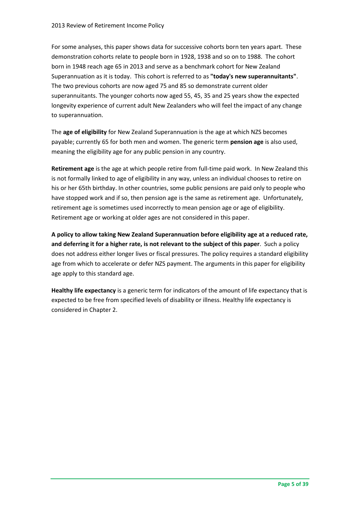For some analyses, this paper shows data for successive cohorts born ten years apart. These demonstration cohorts relate to people born in 1928, 1938 and so on to 1988. The cohort born in 1948 reach age 65 in 2013 and serve as a benchmark cohort for New Zealand Superannuation as it is today. This cohort is referred to as **"today's new superannuitants"**. The two previous cohorts are now aged 75 and 85 so demonstrate current older superannuitants. The younger cohorts now aged 55, 45, 35 and 25 years show the expected longevity experience of current adult New Zealanders who will feel the impact of any change to superannuation.

The **age of eligibility** for New Zealand Superannuation is the age at which NZS becomes payable; currently 65 for both men and women. The generic term **pension age** is also used, meaning the eligibility age for any public pension in any country.

**Retirement age** is the age at which people retire from full-time paid work. In New Zealand this is not formally linked to age of eligibility in any way, unless an individual chooses to retire on his or her 65th birthday. In other countries, some public pensions are paid only to people who have stopped work and if so, then pension age is the same as retirement age. Unfortunately, retirement age is sometimes used incorrectly to mean pension age or age of eligibility. Retirement age or working at older ages are not considered in this paper.

**A policy to allow taking New Zealand Superannuation before eligibility age at a reduced rate, and deferring it for a higher rate, is not relevant to the subject of this paper**. Such a policy does not address either longer lives or fiscal pressures. The policy requires a standard eligibility age from which to accelerate or defer NZS payment. The arguments in this paper for eligibility age apply to this standard age.

**Healthy life expectancy** is a generic term for indicators of the amount of life expectancy that is expected to be free from specified levels of disability or illness. Healthy life expectancy is considered in Chapter 2.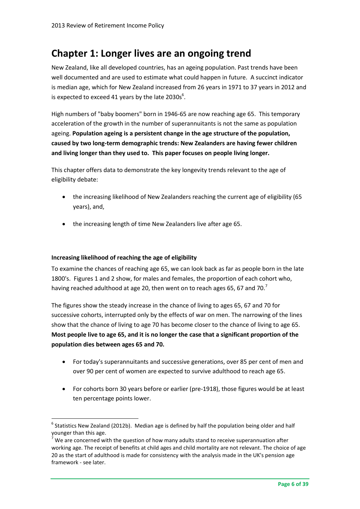### **Chapter 1: Longer lives are an ongoing trend**

New Zealand, like all developed countries, has an ageing population. Past trends have been well documented and are used to estimate what could happen in future. A succinct indicator is median age, which for New Zealand increased from 26 years in 1971 to 37 years in 2012 and is expected to exceed 41 years by the late  $2030s^6$ .

High numbers of "baby boomers" born in 1946-65 are now reaching age 65. This temporary acceleration of the growth in the number of superannuitants is not the same as population ageing. **Population ageing is a persistent change in the age structure of the population, caused by two long-term demographic trends: New Zealanders are having fewer children and living longer than they used to. This paper focuses on people living longer.**

This chapter offers data to demonstrate the key longevity trends relevant to the age of eligibility debate:

- the increasing likelihood of New Zealanders reaching the current age of eligibility (65 years), and,
- the increasing length of time New Zealanders live after age 65.

#### **Increasing likelihood of reaching the age of eligibility**

**.** 

To examine the chances of reaching age 65, we can look back as far as people born in the late 1800's. Figures 1 and 2 show, for males and females, the proportion of each cohort who, having reached adulthood at age 20, then went on to reach ages 65, 67 and 70.<sup>7</sup>

The figures show the steady increase in the chance of living to ages 65, 67 and 70 for successive cohorts, interrupted only by the effects of war on men. The narrowing of the lines show that the chance of living to age 70 has become closer to the chance of living to age 65. **Most people live to age 65, and it is no longer the case that a significant proportion of the population dies between ages 65 and 70.**

- For today's superannuitants and successive generations, over 85 per cent of men and over 90 per cent of women are expected to survive adulthood to reach age 65.
- For cohorts born 30 years before or earlier (pre-1918), those figures would be at least ten percentage points lower.

 $^6$  Statistics New Zealand (2012b). Median age is defined by half the population being older and half younger than this age.

We are concerned with the question of how many adults stand to receive superannuation after working age. The receipt of benefits at child ages and child mortality are not relevant. The choice of age 20 as the start of adulthood is made for consistency with the analysis made in the UK's pension age framework - see later.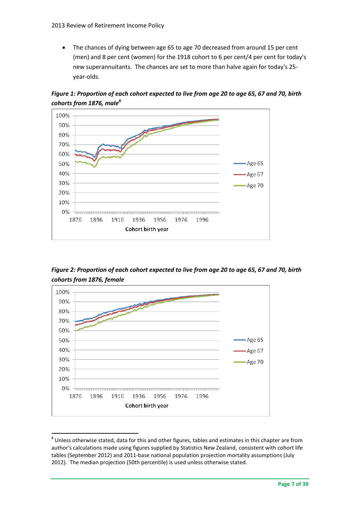The chances of dying between age 65 to age 70 decreased from around 15 per cent (men) and 8 per cent (women) for the 1918 cohort to 6 per cent/4 per cent for today's new superannuitants. The chances are set to more than halve again for today's 25 year-olds.

*Figure 1: Proportion of each cohort expected to live from age 20 to age 65, 67 and 70, birth cohorts from 1876, male<sup>8</sup>*



*Figure 2: Proportion of each cohort expected to live from age 20 to age 65, 67 and 70, birth cohorts from 1876, female*



 $^8$  Unless otherwise stated, data for this and other figures, tables and estimates in this chapter are from author's calculations made using figures supplied by Statistics New Zealand, consistent with cohort life tables (September 2012) and 2011-base national population projection mortality assumptions (July 2012). The median projection (50th percentile) is used unless otherwise stated.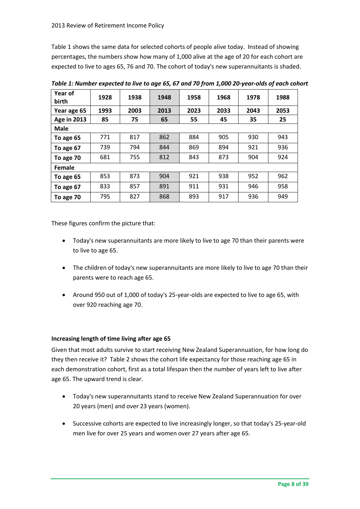Table 1 shows the same data for selected cohorts of people alive today. Instead of showing percentages, the numbers show how many of 1,000 alive at the age of 20 for each cohort are expected to live to ages 65, 76 and 70. The cohort of today's new superannuitants is shaded.

| Year of<br>birth   | 1928 | 1938 | 1948 | 1958 | 1968 | 1978 | 1988 |  |
|--------------------|------|------|------|------|------|------|------|--|
| Year age 65        | 1993 | 2003 | 2013 | 2023 | 2033 | 2043 | 2053 |  |
| <b>Age in 2013</b> | 85   | 75   | 65   | 55   | 45   | 35   | 25   |  |
| <b>Male</b>        |      |      |      |      |      |      |      |  |
| To age 65          | 771  | 817  | 862  | 884  | 905  | 930  | 943  |  |
| To age 67          | 739  | 794  | 844  | 869  | 894  | 921  | 936  |  |
| To age 70          | 681  | 755  | 812  | 843  | 873  | 904  | 924  |  |
| Female             |      |      |      |      |      |      |      |  |
| To age 65          | 853  | 873  | 904  | 921  | 938  | 952  | 962  |  |
| To age 67          | 833  | 857  | 891  | 911  | 931  | 946  | 958  |  |
| To age 70          | 795  | 827  | 868  | 893  | 917  | 936  | 949  |  |

*Table 1: Number expected to live to age 65, 67 and 70 from 1,000 20-year-olds of each cohort* 

These figures confirm the picture that:

- Today's new superannuitants are more likely to live to age 70 than their parents were to live to age 65.
- The children of today's new superannuitants are more likely to live to age 70 than their parents were to reach age 65.
- Around 950 out of 1,000 of today's 25-year-olds are expected to live to age 65, with over 920 reaching age 70.

#### **Increasing length of time living after age 65**

Given that most adults survive to start receiving New Zealand Superannuation, for how long do they then receive it? Table 2 shows the cohort life expectancy for those reaching age 65 in each demonstration cohort, first as a total lifespan then the number of years left to live after age 65. The upward trend is clear.

- Today's new superannuitants stand to receive New Zealand Superannuation for over 20 years (men) and over 23 years (women).
- Successive cohorts are expected to live increasingly longer, so that today's 25-year-old men live for over 25 years and women over 27 years after age 65.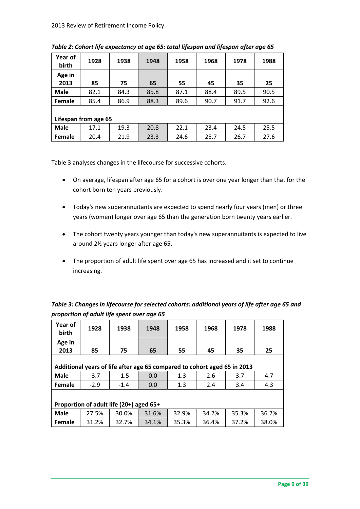| Year of<br>birth     | 1928 | 1938 | 1948 | 1958 | 1968 | 1978 | 1988 |  |
|----------------------|------|------|------|------|------|------|------|--|
| Age in<br>2013       | 85   | 75   | 65   | 55   | 45   | 35   | 25   |  |
| <b>Male</b>          | 82.1 | 84.3 | 85.8 | 87.1 | 88.4 | 89.5 | 90.5 |  |
| Female               | 85.4 | 86.9 | 88.3 | 89.6 | 90.7 | 91.7 | 92.6 |  |
| Lifespan from age 65 |      |      |      |      |      |      |      |  |
| <b>Male</b>          | 17.1 | 19.3 | 20.8 | 22.1 | 23.4 | 24.5 | 25.5 |  |
| Female               | 20.4 | 21.9 | 23.3 | 24.6 | 25.7 | 26.7 | 27.6 |  |

*Table 2: Cohort life expectancy at age 65: total lifespan and lifespan after age 65*

[Table](#page-9-0) 3 analyses changes in the lifecourse for successive cohorts.

- On average, lifespan after age 65 for a cohort is over one year longer than that for the cohort born ten years previously.
- Today's new superannuitants are expected to spend nearly four years (men) or three years (women) longer over age 65 than the generation born twenty years earlier.
- The cohort twenty years younger than today's new superannuitants is expected to live around 2½ years longer after age 65.
- The proportion of adult life spent over age 65 has increased and it set to continue increasing.

<span id="page-9-0"></span>

| Table 3: Changes in lifecourse for selected cohorts: additional years of life after age 65 and |
|------------------------------------------------------------------------------------------------|
| proportion of adult life spent over age 65                                                     |

| Year of<br><b>birth</b>                                                  | 1928   | 1938   | 1948  | 1958  | 1968  | 1978  | 1988  |  |  |
|--------------------------------------------------------------------------|--------|--------|-------|-------|-------|-------|-------|--|--|
| Age in                                                                   |        |        |       |       |       |       |       |  |  |
| 2013                                                                     | 85     | 75     | 65    | 55    | 45    | 35    | 25    |  |  |
|                                                                          |        |        |       |       |       |       |       |  |  |
| Additional years of life after age 65 compared to cohort aged 65 in 2013 |        |        |       |       |       |       |       |  |  |
| <b>Male</b>                                                              | $-3.7$ | $-1.5$ | 0.0   | 1.3   | 2.6   | 3.7   | 4.7   |  |  |
| <b>Female</b>                                                            | $-2.9$ | $-1.4$ | 0.0   | 1.3   | 2.4   | 3.4   | 4.3   |  |  |
|                                                                          |        |        |       |       |       |       |       |  |  |
| Proportion of adult life (20+) aged 65+                                  |        |        |       |       |       |       |       |  |  |
| <b>Male</b>                                                              | 27.5%  | 30.0%  | 31.6% | 32.9% | 34.2% | 35.3% | 36.2% |  |  |
| <b>Female</b>                                                            | 31.2%  | 32.7%  | 34.1% | 35.3% | 36.4% | 37.2% | 38.0% |  |  |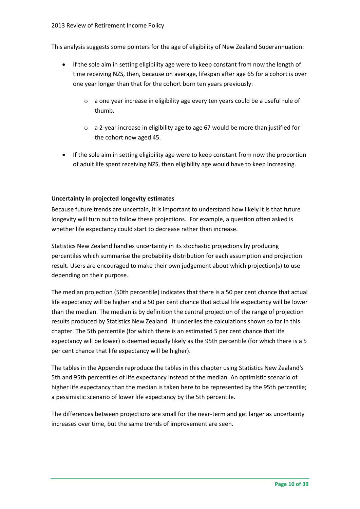This analysis suggests some pointers for the age of eligibility of New Zealand Superannuation:

- If the sole aim in setting eligibility age were to keep constant from now the length of time receiving NZS, then, because on average, lifespan after age 65 for a cohort is over one year longer than that for the cohort born ten years previously:
	- o a one year increase in eligibility age every ten years could be a useful rule of thumb.
	- o a 2-year increase in eligibility age to age 67 would be more than justified for the cohort now aged 45.
- If the sole aim in setting eligibility age were to keep constant from now the proportion of adult life spent receiving NZS, then eligibility age would have to keep increasing.

### **Uncertainty in projected longevity estimates**

Because future trends are uncertain, it is important to understand how likely it is that future longevity will turn out to follow these projections. For example, a question often asked is whether life expectancy could start to decrease rather than increase.

Statistics New Zealand handles uncertainty in its stochastic projections by producing percentiles which summarise the probability distribution for each assumption and projection result. Users are encouraged to make their own judgement about which projection(s) to use depending on their purpose.

The median projection (50th percentile) indicates that there is a 50 per cent chance that actual life expectancy will be higher and a 50 per cent chance that actual life expectancy will be lower than the median. The median is by definition the central projection of the range of projection results produced by Statistics New Zealand. It underlies the calculations shown so far in this chapter. The 5th percentile (for which there is an estimated 5 per cent chance that life expectancy will be lower) is deemed equally likely as the 95th percentile (for which there is a 5 per cent chance that life expectancy will be higher).

The tables in the Appendix reproduce the tables in this chapter using Statistics New Zealand's 5th and 95th percentiles of life expectancy instead of the median. An optimistic scenario of higher life expectancy than the median is taken here to be represented by the 95th percentile; a pessimistic scenario of lower life expectancy by the 5th percentile.

The differences between projections are small for the near-term and get larger as uncertainty increases over time, but the same trends of improvement are seen.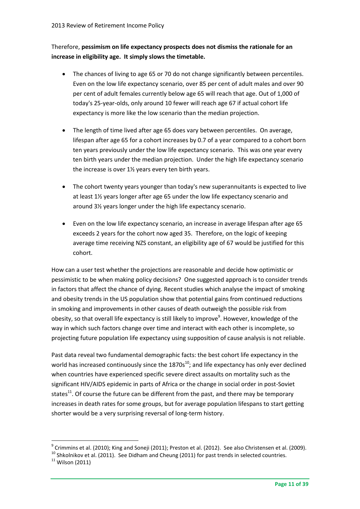### Therefore, **pessimism on life expectancy prospects does not dismiss the rationale for an increase in eligibility age. It simply slows the timetable.**

- The chances of living to age 65 or 70 do not change significantly between percentiles. Even on the low life expectancy scenario, over 85 per cent of adult males and over 90 per cent of adult females currently below age 65 will reach that age. Out of 1,000 of today's 25-year-olds, only around 10 fewer will reach age 67 if actual cohort life expectancy is more like the low scenario than the median projection.
- The length of time lived after age 65 does vary between percentiles. On average, lifespan after age 65 for a cohort increases by 0.7 of a year compared to a cohort born ten years previously under the low life expectancy scenario. This was one year every ten birth years under the median projection. Under the high life expectancy scenario the increase is over 1½ years every ten birth years.
- The cohort twenty years younger than today's new superannuitants is expected to live at least 1½ years longer after age 65 under the low life expectancy scenario and around 3½ years longer under the high life expectancy scenario.
- Even on the low life expectancy scenario, an increase in average lifespan after age 65 exceeds 2 years for the cohort now aged 35. Therefore, on the logic of keeping average time receiving NZS constant, an eligibility age of 67 would be justified for this cohort.

How can a user test whether the projections are reasonable and decide how optimistic or pessimistic to be when making policy decisions? One suggested approach is to consider trends in factors that affect the chance of dying. Recent studies which analyse the impact of smoking and obesity trends in the US population show that potential gains from continued reductions in smoking and improvements in other causes of death outweigh the possible risk from obesity, so that overall life expectancy is still likely to improve<sup>9</sup>. However, knowledge of the way in which such factors change over time and interact with each other is incomplete, so projecting future population life expectancy using supposition of cause analysis is not reliable.

Past data reveal two fundamental demographic facts: the best cohort life expectancy in the world has increased continuously since the  $1870s^{10}$ ; and life expectancy has only ever declined when countries have experienced specific severe direct assaults on mortality such as the significant HIV/AIDS epidemic in parts of Africa or the change in social order in post-Soviet states<sup>11</sup>. Of course the future can be different from the past, and there may be temporary increases in death rates for some groups, but for average population lifespans to start getting shorter would be a very surprising reversal of long-term history.

 $^9$  Crimmins et al. (2010); King and Soneji (2011); Preston et al. (2012). See also Christensen et al. (2009).

<sup>10</sup> Shkolnikov et al. (2011). See Didham and Cheung (2011) for past trends in selected countries.  $11$  Wilson (2011)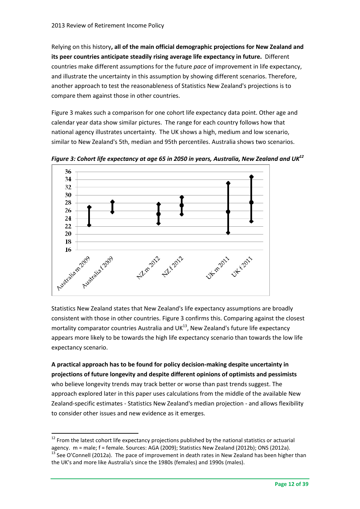Relying on this history**, all of the main official demographic projections for New Zealand and its peer countries anticipate steadily rising average life expectancy in future.** Different countries make different assumptions for the future *pace* of improvement in life expectancy, and illustrate the uncertainty in this assumption by showing different scenarios. Therefore, another approach to test the reasonableness of Statistics New Zealand's projections is to compare them against those in other countries.

[Figure 3](#page-12-0) makes such a comparison for one cohort life expectancy data point. Other age and calendar year data show similar pictures. The range for each country follows how that national agency illustrates uncertainty. The UK shows a high, medium and low scenario, similar to New Zealand's 5th, median and 95th percentiles. Australia shows two scenarios.



<span id="page-12-0"></span>*Figure 3: Cohort life expectancy at age 65 in 2050 in years, Australia, New Zealand and UK<sup>12</sup>*

Statistics New Zealand states that New Zealand's life expectancy assumptions are broadly consistent with those in other countries. [Figure 3](#page-12-0) confirms this. Comparing against the closest mortality comparator countries Australia and UK $^{13}$ , New Zealand's future life expectancy appears more likely to be towards the high life expectancy scenario than towards the low life expectancy scenario.

**A practical approach has to be found for policy decision-making despite uncertainty in projections of future longevity and despite different opinions of optimists and pessimists**  who believe longevity trends may track better or worse than past trends suggest. The approach explored later in this paper uses calculations from the middle of the available New Zealand-specific estimates - Statistics New Zealand's median projection - and allows flexibility to consider other issues and new evidence as it emerges.

 $12$  From the latest cohort life expectancy projections published by the national statistics or actuarial agency. m = male; f = female. Sources: AGA (2009); Statistics New Zealand (2012b); ONS (2012a).  $13$  See O'Connell (2012a). The pace of improvement in death rates in New Zealand has been higher than the UK's and more like Australia's since the 1980s (females) and 1990s (males).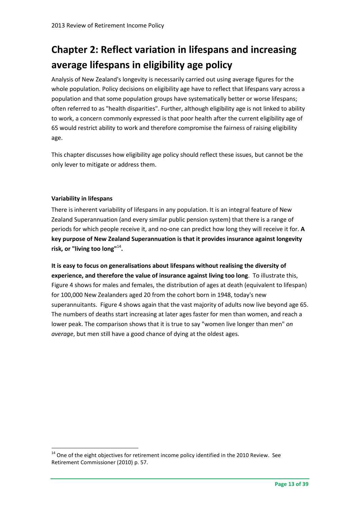## **Chapter 2: Reflect variation in lifespans and increasing average lifespans in eligibility age policy**

Analysis of New Zealand's longevity is necessarily carried out using average figures for the whole population. Policy decisions on eligibility age have to reflect that lifespans vary across a population and that some population groups have systematically better or worse lifespans; often referred to as "health disparities". Further, although eligibility age is not linked to ability to work, a concern commonly expressed is that poor health after the current eligibility age of 65 would restrict ability to work and therefore compromise the fairness of raising eligibility age.

This chapter discusses how eligibility age policy should reflect these issues, but cannot be the only lever to mitigate or address them.

### **Variability in lifespans**

1

There is inherent variability of lifespans in any population. It is an integral feature of New Zealand Superannuation (and every similar public pension system) that there is a range of periods for which people receive it, and no-one can predict how long they will receive it for. **A key purpose of New Zealand Superannuation is that it provides insurance against longevity risk, or "living too long"**<sup>14</sup> **.** 

**It is easy to focus on generalisations about lifespans without realising the diversity of experience, and therefore the value of insurance against living too long**. To illustrate this, Figure 4 shows for males and females, the distribution of ages at death (equivalent to lifespan) for 100,000 New Zealanders aged 20 from the cohort born in 1948, today's new superannuitants. Figure 4 shows again that the vast majority of adults now live beyond age 65. The numbers of deaths start increasing at later ages faster for men than women, and reach a lower peak. The comparison shows that it is true to say "women live longer than men" *on average*, but men still have a good chance of dying at the oldest ages.

<sup>&</sup>lt;sup>14</sup> One of the eight objectives for retirement income policy identified in the 2010 Review. See Retirement Commissioner (2010) p. 57.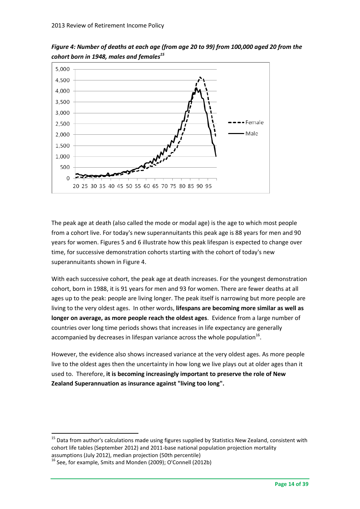

*Figure 4: Number of deaths at each age (from age 20 to 99) from 100,000 aged 20 from the cohort born in 1948, males and females<sup>15</sup>*

The peak age at death (also called the mode or modal age) is the age to which most people from a cohort live. For today's new superannuitants this peak age is 88 years for men and 90 years for women. Figures 5 and 6 illustrate how this peak lifespan is expected to change over time, for successive demonstration cohorts starting with the cohort of today's new superannuitants shown in Figure 4.

With each successive cohort, the peak age at death increases. For the youngest demonstration cohort, born in 1988, it is 91 years for men and 93 for women. There are fewer deaths at all ages up to the peak: people are living longer. The peak itself is narrowing but more people are living to the very oldest ages. In other words, **lifespans are becoming more similar as well as longer on average, as more people reach the oldest ages**. Evidence from a large number of countries over long time periods shows that increases in life expectancy are generally accompanied by decreases in lifespan variance across the whole population<sup>16</sup>.

However, the evidence also shows increased variance at the very oldest ages. As more people live to the oldest ages then the uncertainty in how long we live plays out at older ages than it used to. Therefore, **it is becoming increasingly important to preserve the role of New Zealand Superannuation as insurance against "living too long".**

assumptions (July 2012), median projection (50th percentile)

<sup>&</sup>lt;sup>15</sup> Data from author's calculations made using figures supplied by Statistics New Zealand, consistent with cohort life tables (September 2012) and 2011-base national population projection mortality

 $16$  See, for example, Smits and Monden (2009); O'Connell (2012b)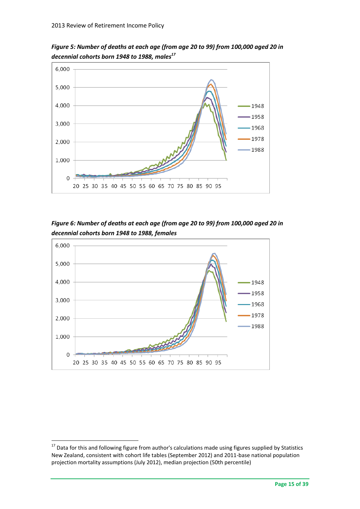

*Figure 5: Number of deaths at each age (from age 20 to 99) from 100,000 aged 20 in decennial cohorts born 1948 to 1988, males<sup>17</sup>*

*Figure 6: Number of deaths at each age (from age 20 to 99) from 100,000 aged 20 in decennial cohorts born 1948 to 1988, females*



<sup>&</sup>lt;sup>17</sup> Data for this and following figure from author's calculations made using figures supplied by Statistics New Zealand, consistent with cohort life tables (September 2012) and 2011-base national population projection mortality assumptions (July 2012), median projection (50th percentile)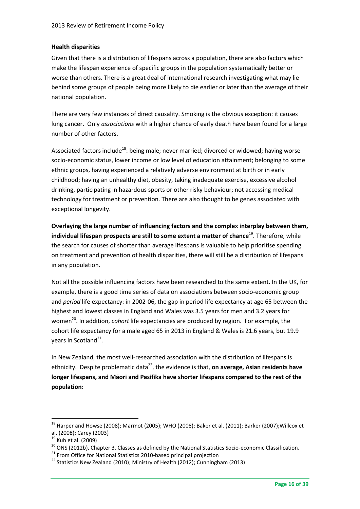### **Health disparities**

Given that there is a distribution of lifespans across a population, there are also factors which make the lifespan experience of specific groups in the population systematically better or worse than others. There is a great deal of international research investigating what may lie behind some groups of people being more likely to die earlier or later than the average of their national population.

There are very few instances of direct causality. Smoking is the obvious exception: it causes lung cancer. Only *associations* with a higher chance of early death have been found for a large number of other factors.

Associated factors include<sup>18</sup>: being male; never married; divorced or widowed; having worse socio-economic status, lower income or low level of education attainment; belonging to some ethnic groups, having experienced a relatively adverse environment at birth or in early childhood; having an unhealthy diet, obesity, taking inadequate exercise, excessive alcohol drinking, participating in hazardous sports or other risky behaviour; not accessing medical technology for treatment or prevention. There are also thought to be genes associated with exceptional longevity.

**Overlaying the large number of influencing factors and the complex interplay between them, individual lifespan prospects are still to some extent a matter of chance<sup>19</sup>. Therefore, while** the search for causes of shorter than average lifespans is valuable to help prioritise spending on treatment and prevention of health disparities, there will still be a distribution of lifespans in any population.

Not all the possible influencing factors have been researched to the same extent. In the UK, for example, there is a good time series of data on associations between socio-economic group and *period* life expectancy: in 2002-06, the gap in period life expectancy at age 65 between the highest and lowest classes in England and Wales was 3.5 years for men and 3.2 years for women<sup>20</sup>. In addition, *cohort* life expectancies are produced by region. For example, the cohort life expectancy for a male aged 65 in 2013 in England & Wales is 21.6 years, but 19.9 years in Scotland<sup>21</sup>.

In New Zealand, the most well-researched association with the distribution of lifespans is ethnicity. Despite problematic data<sup>22</sup>, the evidence is that, on average, Asian residents have **longer lifespans, and Māori and Pasifika have shorter lifespans compared to the rest of the population:**

 $18$  Harper and Howse (2008); Marmot (2005); WHO (2008); Baker et al. (2011); Barker (2007); Willcox et al. (2008); Carey (2003)

 $19$  Kuh et al. (2009)

 $^{20}$  ONS (2012b), Chapter 3. Classes as defined by the National Statistics Socio-economic Classification.

<sup>&</sup>lt;sup>21</sup> From Office for National Statistics 2010-based principal projection

<sup>&</sup>lt;sup>22</sup> Statistics New Zealand (2010); Ministry of Health (2012); Cunningham (2013)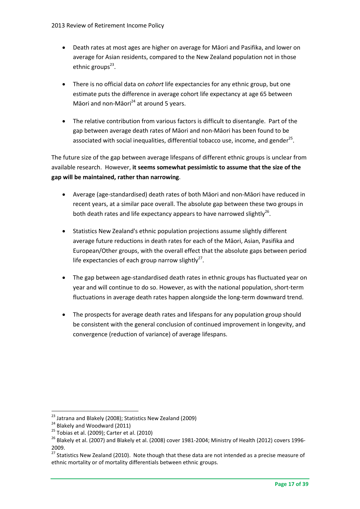- Death rates at most ages are higher on average for Māori and Pasifika, and lower on average for Asian residents, compared to the New Zealand population not in those ethnic groups<sup>23</sup>.
- There is no official data on *cohort* life expectancies for any ethnic group, but one estimate puts the difference in average cohort life expectancy at age 65 between Māori and non-Māori $^{24}$  at around 5 years.
- The relative contribution from various factors is difficult to disentangle. Part of the gap between average death rates of Māori and non-Māori has been found to be associated with social inequalities, differential tobacco use, income, and gender<sup>25</sup>.

The future size of the gap between average lifespans of different ethnic groups is unclear from available research. However, **it seems somewhat pessimistic to assume that the size of the gap will be maintained, rather than narrowing**.

- Average (age-standardised) death rates of both Māori and non-Māori have reduced in recent years, at a similar pace overall. The absolute gap between these two groups in both death rates and life expectancy appears to have narrowed slightly $^{26}$ .
- Statistics New Zealand's ethnic population projections assume slightly different average future reductions in death rates for each of the Māori, Asian, Pasifika and European/Other groups, with the overall effect that the absolute gaps between period life expectancies of each group narrow slightly<sup>27</sup>.
- The gap between age-standardised death rates in ethnic groups has fluctuated year on year and will continue to do so. However, as with the national population, short-term fluctuations in average death rates happen alongside the long-term downward trend.
- The prospects for average death rates and lifespans for any population group should be consistent with the general conclusion of continued improvement in longevity, and convergence (reduction of variance) of average lifespans.

<sup>&</sup>lt;sup>23</sup> Jatrana and Blakely (2008); Statistics New Zealand (2009)

 $24$  Blakely and Woodward (2011)

 $25$  Tobias et al. (2009); Carter et al. (2010)

<sup>&</sup>lt;sup>26</sup> Blakely et al. (2007) and Blakely et al. (2008) cover 1981-2004; Ministry of Health (2012) covers 1996-2009.

<sup>27</sup> Statistics New Zealand (2010). Note though that these data are not intended as a precise measure of ethnic mortality or of mortality differentials between ethnic groups.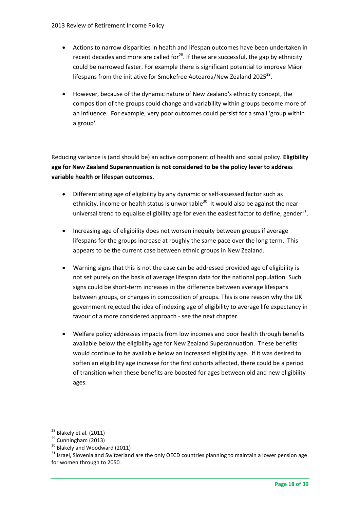- Actions to narrow disparities in health and lifespan outcomes have been undertaken in recent decades and more are called for $^{28}$ . If these are successful, the gap by ethnicity could be narrowed faster. For example there is significant potential to improve Māori lifespans from the initiative for Smokefree Aotearoa/New Zealand 2025 $^{29}$ .
- However, because of the dynamic nature of New Zealand's ethnicity concept, the composition of the groups could change and variability within groups become more of an influence. For example, very poor outcomes could persist for a small 'group within a group'.

Reducing variance is (and should be) an active component of health and social policy. **Eligibility age for New Zealand Superannuation is not considered to be the policy lever to address variable health or lifespan outcomes**.

- Differentiating age of eligibility by any dynamic or self-assessed factor such as ethnicity, income or health status is unworkable<sup>30</sup>. It would also be against the nearuniversal trend to equalise eligibility age for even the easiest factor to define, gender $^{31}$ .
- Increasing age of eligibility does not worsen inequity between groups if average lifespans for the groups increase at roughly the same pace over the long term.This appears to be the current case between ethnic groups in New Zealand.
- Warning signs that this is not the case can be addressed provided age of eligibility is not set purely on the basis of average lifespan data for the national population. Such signs could be short-term increases in the difference between average lifespans between groups, or changes in composition of groups. This is one reason why the UK government rejected the idea of indexing age of eligibility to average life expectancy in favour of a more considered approach - see the next chapter.
- Welfare policy addresses impacts from low incomes and poor health through benefits available below the eligibility age for New Zealand Superannuation. These benefits would continue to be available below an increased eligibility age. If it was desired to soften an eligibility age increase for the first cohorts affected, there could be a period of transition when these benefits are boosted for ages between old and new eligibility ages.

<sup>1</sup>  $^{28}$  Blakely et al. (2011)

 $29$  Cunningham (2013)

 $30$  Blakely and Woodward (2011)

<sup>&</sup>lt;sup>31</sup> Israel, Slovenia and Switzerland are the only OECD countries planning to maintain a lower pension age for women through to 2050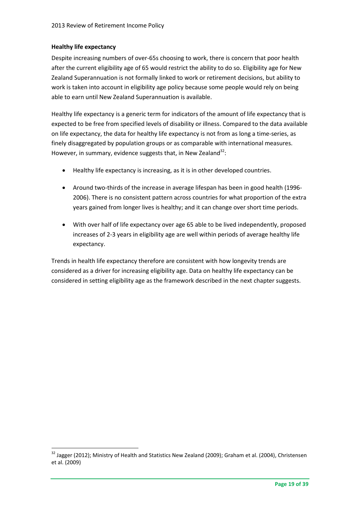### **Healthy life expectancy**

1

Despite increasing numbers of over-65s choosing to work, there is concern that poor health after the current eligibility age of 65 would restrict the ability to do so. Eligibility age for New Zealand Superannuation is not formally linked to work or retirement decisions, but ability to work is taken into account in eligibility age policy because some people would rely on being able to earn until New Zealand Superannuation is available.

Healthy life expectancy is a generic term for indicators of the amount of life expectancy that is expected to be free from specified levels of disability or illness. Compared to the data available on life expectancy, the data for healthy life expectancy is not from as long a time-series, as finely disaggregated by population groups or as comparable with international measures. However, in summary, evidence suggests that, in New Zealand<sup>32</sup>:

- Healthy life expectancy is increasing, as it is in other developed countries.
- Around two-thirds of the increase in average lifespan has been in good health (1996- 2006). There is no consistent pattern across countries for what proportion of the extra years gained from longer lives is healthy; and it can change over short time periods.
- With over half of life expectancy over age 65 able to be lived independently, proposed increases of 2-3 years in eligibility age are well within periods of average healthy life expectancy.

Trends in health life expectancy therefore are consistent with how longevity trends are considered as a driver for increasing eligibility age. Data on healthy life expectancy can be considered in setting eligibility age as the framework described in the next chapter suggests.

<sup>&</sup>lt;sup>32</sup> Jagger (2012); Ministry of Health and Statistics New Zealand (2009); Graham et al. (2004), Christensen et al. (2009)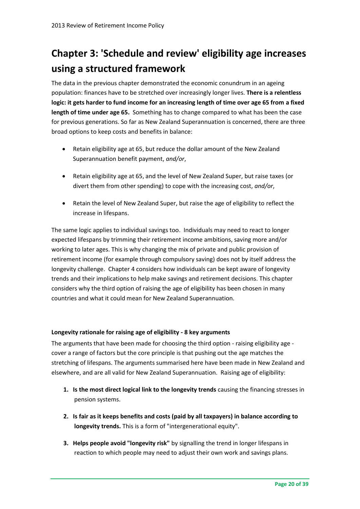## **Chapter 3: 'Schedule and review' eligibility age increases using a structured framework**

The data in the previous chapter demonstrated the economic conundrum in an ageing population: finances have to be stretched over increasingly longer lives. **There is a relentless logic: it gets harder to fund income for an increasing length of time over age 65 from a fixed length of time under age 65.** Something has to change compared to what has been the case for previous generations. So far as New Zealand Superannuation is concerned, there are three broad options to keep costs and benefits in balance:

- Retain eligibility age at 65, but reduce the dollar amount of the New Zealand Superannuation benefit payment, *and/or*,
- Retain eligibility age at 65, and the level of New Zealand Super, but raise taxes (or divert them from other spending) to cope with the increasing cost, *and/or*,
- Retain the level of New Zealand Super, but raise the age of eligibility to reflect the increase in lifespans.

The same logic applies to individual savings too. Individuals may need to react to longer expected lifespans by trimming their retirement income ambitions, saving more and/or working to later ages. This is why changing the mix of private and public provision of retirement income (for example through compulsory saving) does not by itself address the longevity challenge. Chapter 4 considers how individuals can be kept aware of longevity trends and their implications to help make savings and retirement decisions. This chapter considers why the third option of raising the age of eligibility has been chosen in many countries and what it could mean for New Zealand Superannuation.

### **Longevity rationale for raising age of eligibility - 8 key arguments**

The arguments that have been made for choosing the third option - raising eligibility age cover a range of factors but the core principle is that pushing out the age matches the stretching of lifespans. The arguments summarised here have been made in New Zealand and elsewhere, and are all valid for New Zealand Superannuation. Raising age of eligibility:

- **1. Is the most direct logical link to the longevity trends** causing the financing stresses in pension systems.
- **2. Is fair as it keeps benefits and costs (paid by all taxpayers) in balance according to longevity trends.** This is a form of "intergenerational equity".
- **3. Helps people avoid "longevity risk"** by signalling the trend in longer lifespans in reaction to which people may need to adjust their own work and savings plans.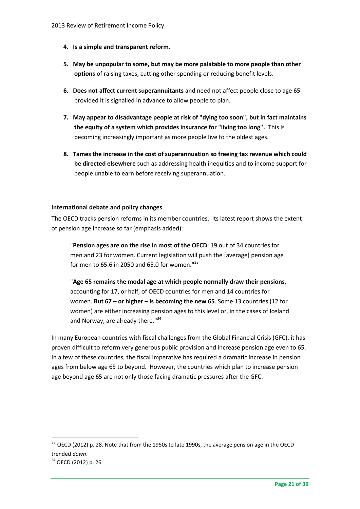- **4. Is a simple and transparent reform.**
- **5. May be unpopular to some, but may be more palatable to more people than other options** of raising taxes, cutting other spending or reducing benefit levels.
- **6. Does not affect current superannuitants** and need not affect people close to age 65 provided it is signalled in advance to allow people to plan.
- **7. May appear to disadvantage people at risk of "dying too soon", but in fact maintains the equity of a system which provides insurance for "living too long".** This is becoming increasingly important as more people live to the oldest ages.
- **8. Tames the increase in the cost of superannuation so freeing tax revenue which could be directed elsewhere** such as addressing health inequities and to income support for people unable to earn before receiving superannuation.

### **International debate and policy changes**

The OECD tracks pension reforms in its member countries. Its latest report shows the extent of pension age increase so far (emphasis added):

"**Pension ages are on the rise in most of the OECD**: 19 out of 34 countries for men and 23 for women. Current legislation will push the [average] pension age for men to 65.6 in 2050 and 65.0 for women."<sup>33</sup>

"**Age 65 remains the modal age at which people normally draw their pensions**, accounting for 17, or half, of OECD countries for men and 14 countries for women. **But 67 – or higher – is becoming the new 65**. Some 13 countries (12 for women) are either increasing pension ages to this level or, in the cases of Iceland and Norway, are already there."34

In many European countries with fiscal challenges from the Global Financial Crisis (GFC), it has proven difficult to reform very generous public provision and increase pension age even to 65. In a few of these countries, the fiscal imperative has required a dramatic increase in pension ages from below age 65 to beyond. However, the countries which plan to increase pension age beyond age 65 are not only those facing dramatic pressures after the GFC.

<sup>&</sup>lt;sup>33</sup> OECD (2012) p. 28. Note that from the 1950s to late 1990s, the average pension age in the OECD trended *down*.

<sup>&</sup>lt;sup>34</sup> OECD (2012) p. 26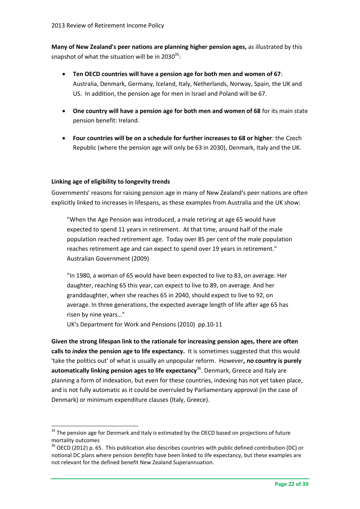**Many of New Zealand's peer nations are planning higher pension ages,** as illustrated by this snapshot of what the situation will be in 2030 $^{35}$ :

- **Ten OECD countries will have a pension age for both men and women of 67**: Australia, Denmark, Germany, Iceland, Italy, Netherlands, Norway, Spain, the UK and US. In addition, the pension age for men in Israel and Poland will be 67.
- **One country will have a pension age for both men and women of 68** for its main state pension benefit: Ireland.
- **Four countries will be on a schedule for further increases to 68 or higher**: the Czech Republic (where the pension age will only be 63 in 2030), Denmark, Italy and the UK.

### **Linking age of eligibility to longevity trends**

1

Governments' reasons for raising pension age in many of New Zealand's peer nations are often explicitly linked to increases in lifespans, as these examples from Australia and the UK show:

"When the Age Pension was introduced, a male retiring at age 65 would have expected to spend 11 years in retirement. At that time, around half of the male population reached retirement age. Today over 85 per cent of the male population reaches retirement age and can expect to spend over 19 years in retirement." Australian Government (2009)

"In 1980, a woman of 65 would have been expected to live to 83, on average. Her daughter, reaching 65 this year, can expect to live to 89, on average. And her granddaughter, when she reaches 65 in 2040, should expect to live to 92, on average. In three generations, the expected average length of life after age 65 has risen by nine years…"

UK's Department for Work and Pensions (2010) pp.10-11

**Given the strong lifespan link to the rationale for increasing pension ages, there are often calls to** *index* **the pension age to life expectancy.** It is sometimes suggested that this would 'take the politics out' of what is usually an unpopular reform. However**, no country is purely**  automatically linking pension ages to life expectancy<sup>36</sup>. Denmark, Greece and Italy are planning a form of indexation, but even for these countries, indexing has not yet taken place, and is not fully automatic as it could be overruled by Parliamentary approval (in the case of Denmark) or minimum expenditure clauses (Italy, Greece).

 $35$  The pension age for Denmark and Italy is estimated by the OECD based on projections of future mortality outcomes

<sup>&</sup>lt;sup>36</sup> OECD (2012) p. 65. This publication also describes countries with public defined contribution (DC) or notional DC plans where pension *benefits* have been linked to life expectancy, but these examples are not relevant for the defined benefit New Zealand Superannuation.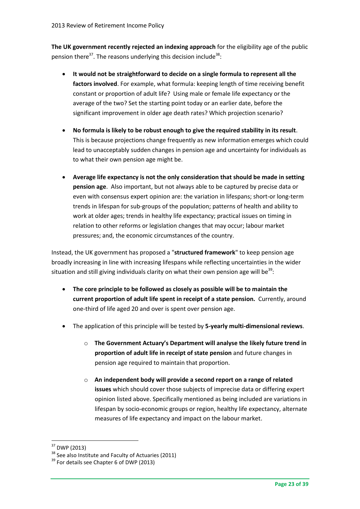**The UK government recently rejected an indexing approach** for the eligibility age of the public pension there<sup>37</sup>. The reasons underlying this decision include<sup>38</sup>:

- **It would not be straightforward to decide on a single formula to represent all the factors involved**. For example, what formula: keeping length of time receiving benefit constant or proportion of adult life? Using male or female life expectancy or the average of the two? Set the starting point today or an earlier date, before the significant improvement in older age death rates? Which projection scenario?
- **No formula is likely to be robust enough to give the required stability in its result**. This is because projections change frequently as new information emerges which could lead to unacceptably sudden changes in pension age and uncertainty for individuals as to what their own pension age might be.
- **Average life expectancy is not the only consideration that should be made in setting pension age**. Also important, but not always able to be captured by precise data or even with consensus expert opinion are: the variation in lifespans; short-or long-term trends in lifespan for sub-groups of the population; patterns of health and ability to work at older ages; trends in healthy life expectancy; practical issues on timing in relation to other reforms or legislation changes that may occur; labour market pressures; and, the economic circumstances of the country.

Instead, the UK government has proposed a "**structured framework**" to keep pension age broadly increasing in line with increasing lifespans while reflecting uncertainties in the wider situation and still giving individuals clarity on what their own pension age will be $^{39}$ :

- **The core principle to be followed as closely as possible will be to maintain the current proportion of adult life spent in receipt of a state pension.** Currently, around one-third of life aged 20 and over is spent over pension age.
- The application of this principle will be tested by **5-yearly multi-dimensional reviews**.
	- o **The Government Actuary's Department will analyse the likely future trend in proportion of adult life in receipt of state pension** and future changes in pension age required to maintain that proportion.
	- o **An independent body will provide a second report on a range of related issues** which should cover those subjects of imprecise data or differing expert opinion listed above. Specifically mentioned as being included are variations in lifespan by socio-economic groups or region, healthy life expectancy, alternate measures of life expectancy and impact on the labour market.

<sup>37</sup> DWP (2013)

<sup>&</sup>lt;sup>38</sup> See also Institute and Faculty of Actuaries (2011)

<sup>&</sup>lt;sup>39</sup> For details see Chapter 6 of DWP (2013)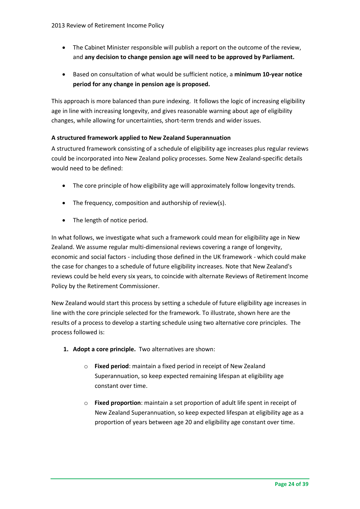- The Cabinet Minister responsible will publish a report on the outcome of the review, and **any decision to change pension age will need to be approved by Parliament.**
- Based on consultation of what would be sufficient notice, a **minimum 10-year notice period for any change in pension age is proposed.**

This approach is more balanced than pure indexing. It follows the logic of increasing eligibility age in line with increasing longevity, and gives reasonable warning about age of eligibility changes, while allowing for uncertainties, short-term trends and wider issues.

### **A structured framework applied to New Zealand Superannuation**

A structured framework consisting of a schedule of eligibility age increases plus regular reviews could be incorporated into New Zealand policy processes. Some New Zealand-specific details would need to be defined:

- The core principle of how eligibility age will approximately follow longevity trends.
- The frequency, composition and authorship of review(s).
- The length of notice period.

In what follows, we investigate what such a framework could mean for eligibility age in New Zealand. We assume regular multi-dimensional reviews covering a range of longevity, economic and social factors - including those defined in the UK framework - which could make the case for changes to a schedule of future eligibility increases. Note that New Zealand's reviews could be held every six years, to coincide with alternate Reviews of Retirement Income Policy by the Retirement Commissioner.

New Zealand would start this process by setting a schedule of future eligibility age increases in line with the core principle selected for the framework. To illustrate, shown here are the results of a process to develop a starting schedule using two alternative core principles. The process followed is:

- **1. Adopt a core principle.** Two alternatives are shown:
	- o **Fixed period**: maintain a fixed period in receipt of New Zealand Superannuation, so keep expected remaining lifespan at eligibility age constant over time.
	- o **Fixed proportion**: maintain a set proportion of adult life spent in receipt of New Zealand Superannuation, so keep expected lifespan at eligibility age as a proportion of years between age 20 and eligibility age constant over time.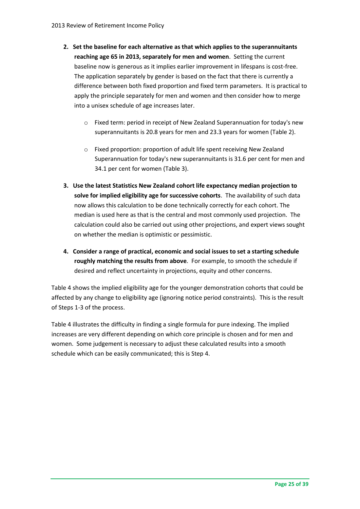- **2. Set the baseline for each alternative as that which applies to the superannuitants reaching age 65 in 2013, separately for men and women**. Setting the current baseline now is generous as it implies earlier improvement in lifespans is cost-free. The application separately by gender is based on the fact that there is currently a difference between both fixed proportion and fixed term parameters. It is practical to apply the principle separately for men and women and then consider how to merge into a unisex schedule of age increases later.
	- o Fixed term: period in receipt of New Zealand Superannuation for today's new superannuitants is 20.8 years for men and 23.3 years for women (Table 2).
	- o Fixed proportion: proportion of adult life spent receiving New Zealand Superannuation for today's new superannuitants is 31.6 per cent for men and 34.1 per cent for women (Table 3).
- **3. Use the latest Statistics New Zealand cohort life expectancy median projection to solve for implied eligibility age for successive cohorts**. The availability of such data now allows this calculation to be done technically correctly for each cohort. The median is used here as that is the central and most commonly used projection. The calculation could also be carried out using other projections, and expert views sought on whether the median is optimistic or pessimistic.
- **4. Consider a range of practical, economic and social issues to set a starting schedule roughly matching the results from above**. For example, to smooth the schedule if desired and reflect uncertainty in projections, equity and other concerns.

Table 4 shows the implied eligibility age for the younger demonstration cohorts that could be affected by any change to eligibility age (ignoring notice period constraints). This is the result of Steps 1-3 of the process.

Table 4 illustrates the difficulty in finding a single formula for pure indexing. The implied increases are very different depending on which core principle is chosen and for men and women. Some judgement is necessary to adjust these calculated results into a smooth schedule which can be easily communicated; this is Step 4.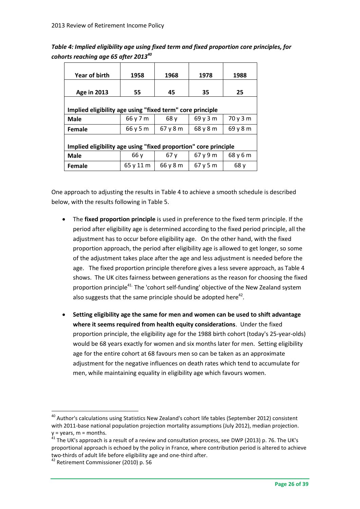*Table 4: Implied eligibility age using fixed term and fixed proportion core principles, for cohorts reaching age 65 after 2013<sup>40</sup>*

| Year of birth                                                   | 1958      | 1968     | 1978     | 1988     |  |  |  |  |  |
|-----------------------------------------------------------------|-----------|----------|----------|----------|--|--|--|--|--|
|                                                                 |           |          |          |          |  |  |  |  |  |
| <b>Age in 2013</b>                                              | 55        | 45       | 35       | 25       |  |  |  |  |  |
|                                                                 |           |          |          |          |  |  |  |  |  |
| Implied eligibility age using "fixed term" core principle       |           |          |          |          |  |  |  |  |  |
| <b>Male</b>                                                     | 66 y 7 m  | 68y      | 69y3m    | 70y3m    |  |  |  |  |  |
| Female                                                          | 66 y 5 m  | 67y8m    | 68y8m    | 69y8m    |  |  |  |  |  |
|                                                                 |           |          |          |          |  |  |  |  |  |
| Implied eligibility age using "fixed proportion" core principle |           |          |          |          |  |  |  |  |  |
| <b>Male</b>                                                     | 66 y      | 67y      | 67 y 9 m | 68 y 6 m |  |  |  |  |  |
| Female                                                          | 65 y 11 m | 66 y 8 m | 67y5m    | 68 y     |  |  |  |  |  |

One approach to adjusting the results in Table 4 to achieve a smooth schedule is described below, with the results following in Table 5.

- The **fixed proportion principle** is used in preference to the fixed term principle. If the period after eligibility age is determined according to the fixed period principle, all the adjustment has to occur before eligibility age. On the other hand, with the fixed proportion approach, the period after eligibility age is allowed to get longer, so some of the adjustment takes place after the age and less adjustment is needed before the age. The fixed proportion principle therefore gives a less severe approach, as Table 4 shows. The UK cites fairness between generations as the reason for choosing the fixed proportion principle<sup>41</sup> The 'cohort self-funding' objective of the New Zealand system also suggests that the same principle should be adopted here<sup>42</sup>.
- **Setting eligibility age the same for men and women can be used to shift advantage where it seems required from health equity considerations**. Under the fixed proportion principle, the eligibility age for the 1988 birth cohort (today's 25-year-olds) would be 68 years exactly for women and six months later for men. Setting eligibility age for the entire cohort at 68 favours men so can be taken as an approximate adjustment for the negative influences on death rates which tend to accumulate for men, while maintaining equality in eligibility age which favours women.

 $^{40}$  Author's calculations using Statistics New Zealand's cohort life tables (September 2012) consistent with 2011-base national population projection mortality assumptions (July 2012), median projection. y = years, m = months.

<sup>&</sup>lt;sup>41</sup> The UK's approach is a result of a review and consultation process, see DWP (2013) p. 76. The UK's proportional approach is echoed by the policy in France, where contribution period is altered to achieve two-thirds of adult life before eligibility age and one-third after.

<sup>&</sup>lt;sup>42</sup> Retirement Commissioner (2010) p. 56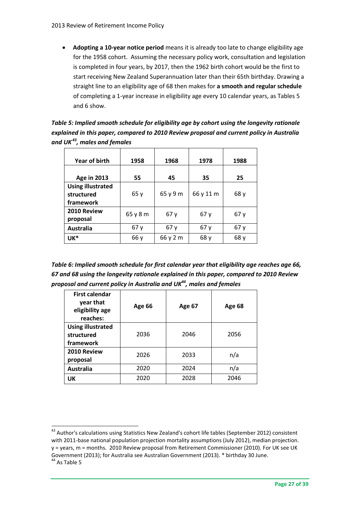**Adopting a 10-year notice period** means it is already too late to change eligibility age for the 1958 cohort. Assuming the necessary policy work, consultation and legislation is completed in four years, by 2017, then the 1962 birth cohort would be the first to start receiving New Zealand Superannuation later than their 65th birthday. Drawing a straight line to an eligibility age of 68 then makes for **a smooth and regular schedule** of completing a 1-year increase in eligibility age every 10 calendar years, as Tables 5 and 6 show.

*Table 5: Implied smooth schedule for eligibility age by cohort using the longevity rationale explained in this paper, compared to 2010 Review proposal and current policy in Australia and UK<sup>43</sup>, males and females*

| Year of birth                                       | 1958     | 1968     | 1978      | 1988 |
|-----------------------------------------------------|----------|----------|-----------|------|
| <b>Age in 2013</b>                                  | 55       | 45       | 35        | 25   |
| <b>Using illustrated</b><br>structured<br>framework | 65y      | 65 y 9 m | 66 y 11 m | 68 y |
| 2010 Review<br>proposal                             | 65 y 8 m | 67y      | 67y       | 67y  |
| <b>Australia</b>                                    | 67y      | 67y      | 67y       | 67y  |
| UK*                                                 | 66 y     | 66 y 2 m | 68 y      | 68 y |

*Table 6: Implied smooth schedule for first calendar year that eligibility age reaches age 66, 67 and 68 using the longevity rationale explained in this paper, compared to 2010 Review proposal and current policy in Australia and UK<sup>44</sup>, males and females*

| <b>First calendar</b><br>year that<br>eligibility age<br>reaches: | <b>Age 66</b> | <b>Age 67</b> | <b>Age 68</b> |  |
|-------------------------------------------------------------------|---------------|---------------|---------------|--|
| <b>Using illustrated</b><br>structured<br>framework               | 2036          | 2046          | 2056          |  |
| 2010 Review<br>proposal                                           | 2026          | 2033          | n/a           |  |
| <b>Australia</b>                                                  | 2020          | 2024          | n/a           |  |
| UK                                                                | 2020          | 2028          | 2046          |  |

<sup>&</sup>lt;sup>43</sup> Author's calculations using Statistics New Zealand's cohort life tables (September 2012) consistent with 2011-base national population projection mortality assumptions (July 2012), median projection. y = years, m = months. 2010 Review proposal from Retirement Commissioner (2010). For UK see UK Government (2013); for Australia see Australian Government (2013). \* birthday 30 June.

<sup>&</sup>lt;sup>44</sup> As Table 5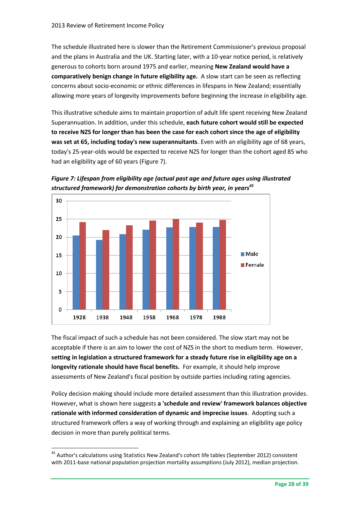The schedule illustrated here is slower than the Retirement Commissioner's previous proposal and the plans in Australia and the UK. Starting later, with a 10-year notice period, is relatively generous to cohorts born around 1975 and earlier, meaning **New Zealand would have a comparatively benign change in future eligibility age.** A slow start can be seen as reflecting concerns about socio-economic or ethnic differences in lifespans in New Zealand; essentially allowing more years of longevity improvements before beginning the increase in eligibility age.

This illustrative schedule aims to maintain proportion of adult life spent receiving New Zealand Superannuation. In addition, under this schedule, **each future cohort would still be expected to receive NZS for longer than has been the case for each cohort since the age of eligibility was set at 65, including today's new superannuitants**. Even with an eligibility age of 68 years, today's 25-year-olds would be expected to receive NZS for longer than the cohort aged 85 who had an eligibility age of 60 years (Figure 7).





The fiscal impact of such a schedule has not been considered. The slow start may not be acceptable if there is an aim to lower the cost of NZS in the short to medium term. However, **setting in legislation a structured framework for a steady future rise in eligibility age on a longevity rationale should have fiscal benefits.** For example, it should help improve assessments of New Zealand's fiscal position by outside parties including rating agencies.

Policy decision making should include more detailed assessment than this illustration provides. However, what is shown here suggests **a 'schedule and review' framework balances objective rationale with informed consideration of dynamic and imprecise issues**. Adopting such a structured framework offers a way of working through and explaining an eligibility age policy decision in more than purely political terms.

<sup>&</sup>lt;sup>45</sup> Author's calculations using Statistics New Zealand's cohort life tables (September 2012) consistent with 2011-base national population projection mortality assumptions (July 2012), median projection.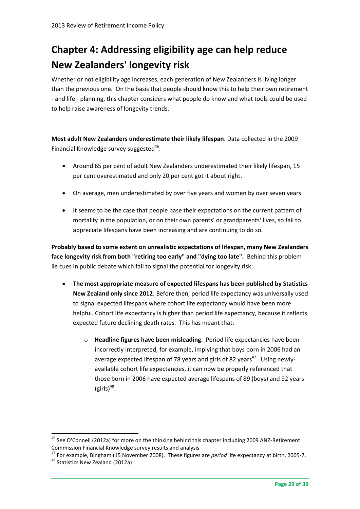## **Chapter 4: Addressing eligibility age can help reduce New Zealanders' longevity risk**

Whether or not eligibility age increases, each generation of New Zealanders is living longer than the previous one. On the basis that people should know this to help their own retirement - and life - planning, this chapter considers what people do know and what tools could be used to help raise awareness of longevity trends.

**Most adult New Zealanders underestimate their likely lifespan**. Data collected in the 2009 Financial Knowledge survey suggested<sup>46</sup>:

- Around 65 per cent of adult New Zealanders underestimated their likely lifespan, 15 per cent overestimated and only 20 per cent got it about right.
- On average, men underestimated by over five years and women by over seven years.
- It seems to be the case that people base their expectations on the current pattern of mortality in the population, or on their own parents' or grandparents' lives, so fail to appreciate lifespans have been increasing and are continuing to do so.

**Probably based to some extent on unrealistic expectations of lifespan, many New Zealanders face longevity risk from both "retiring too early" and "dying too late".** Behind this problem lie cues in public debate which fail to signal the potential for longevity risk:

- **The most appropriate measure of expected lifespans has been published by Statistics New Zealand only since 2012**. Before then, period life expectancy was universally used to signal expected lifespans where cohort life expectancy would have been more helpful. Cohort life expectancy is higher than period life expectancy, because it reflects expected future declining death rates. This has meant that:
	- o **Headline figures have been misleading**. Period life expectancies have been incorrectly interpreted, for example, implying that boys born in 2006 had an average expected lifespan of 78 years and girls of 82 years<sup>47</sup>. Using newlyavailable cohort life expectancies, it can now be properly referenced that those born in 2006 have expected average lifespans of 89 (boys) and 92 years  $(girls)^{48}$ .

<sup>&</sup>lt;sup>46</sup> See O'Connell (2012a) for more on the thinking behind this chapter including 2009 ANZ-Retirement Commission Financial Knowledge survey results and analysis

<sup>47</sup> For example, Bingham (15 November 2008). These figures are *period* life expectancy at birth, 2005-7.

<sup>48</sup> Statistics New Zealand (2012a)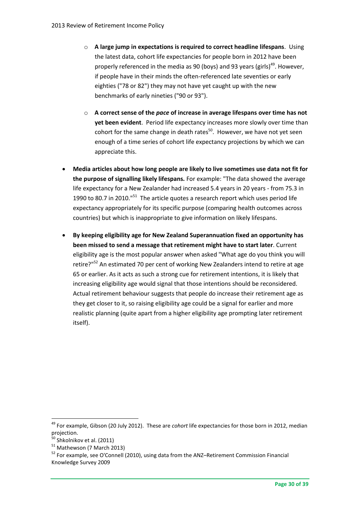- o **A large jump in expectations is required to correct headline lifespans**. Using the latest data, cohort life expectancies for people born in 2012 have been properly referenced in the media as 90 (boys) and 93 years (girls)<sup>49</sup>. However, if people have in their minds the often-referenced late seventies or early eighties ("78 or 82") they may not have yet caught up with the new benchmarks of early nineties ("90 or 93").
- o **A correct sense of the** *pace* **of increase in average lifespans over time has not yet been evident**. Period life expectancy increases more slowly over time than cohort for the same change in death rates $^{50}$ . However, we have not yet seen enough of a time series of cohort life expectancy projections by which we can appreciate this.
- **Media articles about how long people are likely to live sometimes use data not fit for the purpose of signalling likely lifespans.** For example: "The data showed the average life expectancy for a New Zealander had increased 5.4 years in 20 years - from 75.3 in 1990 to 80.7 in 2010."<sup>51</sup> The article quotes a research report which uses period life expectancy appropriately for its specific purpose (comparing health outcomes across countries) but which is inappropriate to give information on likely lifespans.
- **By keeping eligibility age for New Zealand Superannuation fixed an opportunity has been missed to send a message that retirement might have to start later**. Current eligibility age is the most popular answer when asked "What age do you think you will retire?"<sup>52</sup> An estimated 70 per cent of working New Zealanders intend to retire at age 65 or earlier. As it acts as such a strong cue for retirement intentions, it is likely that increasing eligibility age would signal that those intentions should be reconsidered. Actual retirement behaviour suggests that people do increase their retirement age as they get closer to it, so raising eligibility age could be a signal for earlier and more realistic planning (quite apart from a higher eligibility age prompting later retirement itself).

<sup>49</sup> For example, Gibson (20 July 2012). These are *cohort* life expectancies for those born in 2012, median projection.

 $50$  Shkolnikov et al. (2011)

<sup>51</sup> Mathewson (7 March 2013)

<sup>&</sup>lt;sup>52</sup> For example, see O'Connell (2010), using data from the ANZ-Retirement Commission Financial Knowledge Survey 2009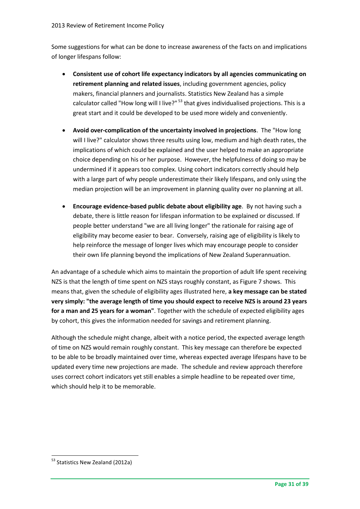Some suggestions for what can be done to increase awareness of the facts on and implications of longer lifespans follow:

- **Consistent use of cohort life expectancy indicators by all agencies communicating on retirement planning and related issues**, including government agencies, policy makers, financial planners and journalists. Statistics New Zealand has a simple calculator called "How long will I live?"  $53$  that gives individualised projections. This is a great start and it could be developed to be used more widely and conveniently.
- **Avoid over-complication of the uncertainty involved in projections**. The "How long will I live?" calculator shows three results using low, medium and high death rates, the implications of which could be explained and the user helped to make an appropriate choice depending on his or her purpose. However, the helpfulness of doing so may be undermined if it appears too complex. Using cohort indicators correctly should help with a large part of why people underestimate their likely lifespans, and only using the median projection will be an improvement in planning quality over no planning at all.
- **Encourage evidence-based public debate about eligibility age**. By not having such a debate, there is little reason for lifespan information to be explained or discussed. If people better understand "we are all living longer" the rationale for raising age of eligibility may become easier to bear. Conversely, raising age of eligibility is likely to help reinforce the message of longer lives which may encourage people to consider their own life planning beyond the implications of New Zealand Superannuation.

An advantage of a schedule which aims to maintain the proportion of adult life spent receiving NZS is that the length of time spent on NZS stays roughly constant, as Figure 7 shows. This means that, given the schedule of eligibility ages illustrated here, **a key message can be stated very simply: "the average length of time you should expect to receive NZS is around 23 years for a man and 25 years for a woman"**. Together with the schedule of expected eligibility ages by cohort, this gives the information needed for savings and retirement planning.

Although the schedule might change, albeit with a notice period, the expected average length of time on NZS would remain roughly constant. This key message can therefore be expected to be able to be broadly maintained over time, whereas expected average lifespans have to be updated every time new projections are made. The schedule and review approach therefore uses correct cohort indicators yet still enables a simple headline to be repeated over time, which should help it to be memorable.

<sup>&</sup>lt;sup>53</sup> Statistics New Zealand (2012a)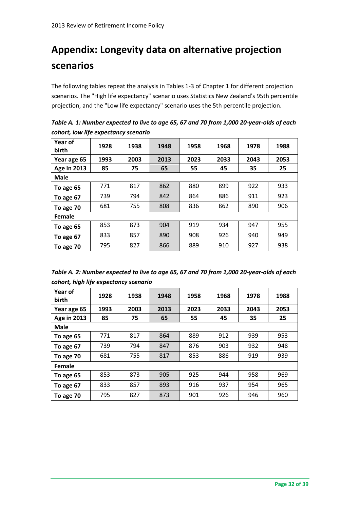## **Appendix: Longevity data on alternative projection scenarios**

The following tables repeat the analysis in Tables 1-3 of Chapter 1 for different projection scenarios. The "High life expectancy" scenario uses Statistics New Zealand's 95th percentile projection, and the "Low life expectancy" scenario uses the 5th percentile projection.

| Year of<br>birth   | 1928 | 1938 | 1948 | 1958 | 1968 | 1978 | 1988 |  |
|--------------------|------|------|------|------|------|------|------|--|
| Year age 65        | 1993 | 2003 | 2013 | 2023 | 2033 | 2043 | 2053 |  |
| <b>Age in 2013</b> | 85   | 75   | 65   | 55   | 45   | 35   | 25   |  |
| <b>Male</b>        |      |      |      |      |      |      |      |  |
| To age 65          | 771  | 817  | 862  | 880  | 899  | 922  | 933  |  |
| To age 67          | 739  | 794  | 842  | 864  | 886  | 911  | 923  |  |
| To age 70          | 681  | 755  | 808  | 836  | 862  | 890  | 906  |  |
| Female             |      |      |      |      |      |      |      |  |
| To age 65          | 853  | 873  | 904  | 919  | 934  | 947  | 955  |  |
| To age 67          | 833  | 857  | 890  | 908  | 926  | 940  | 949  |  |
| To age 70          | 795  | 827  | 866  | 889  | 910  | 927  | 938  |  |

*Table A. 1: Number expected to live to age 65, 67 and 70 from 1,000 20-year-olds of each cohort, low life expectancy scenario*

| Table A. 2: Number expected to live to age 65, 67 and 70 from 1,000 20-year-olds of each |
|------------------------------------------------------------------------------------------|
| cohort, high life expectancy scenario                                                    |

| Year of<br>birth   | 1928 | 1938 | 1948 | 1958 | 1968 | 1978 | 1988 |  |
|--------------------|------|------|------|------|------|------|------|--|
| Year age 65        | 1993 | 2003 | 2013 | 2023 | 2033 | 2043 | 2053 |  |
| <b>Age in 2013</b> | 85   | 75   | 65   | 55   | 45   | 35   | 25   |  |
| <b>Male</b>        |      |      |      |      |      |      |      |  |
| To age 65          | 771  | 817  | 864  | 889  | 912  | 939  | 953  |  |
| To age 67          | 739  | 794  | 847  | 876  | 903  | 932  | 948  |  |
| To age 70          | 681  | 755  | 817  | 853  | 886  | 919  | 939  |  |
| Female             |      |      |      |      |      |      |      |  |
| To age 65          | 853  | 873  | 905  | 925  | 944  | 958  | 969  |  |
| To age 67          | 833  | 857  | 893  | 916  | 937  | 954  | 965  |  |
| To age 70          | 795  | 827  | 873  | 901  | 926  | 946  | 960  |  |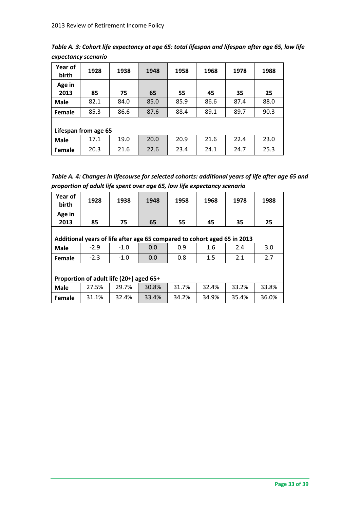| Table A. 3: Cohort life expectancy at age 65: total lifespan and lifespan after age 65, low life |  |
|--------------------------------------------------------------------------------------------------|--|
| expectancy scenario                                                                              |  |

| Year of<br>birth     | 1928 | 1938 | 1948 | 1958 | 1968 | 1978 | 1988 |  |
|----------------------|------|------|------|------|------|------|------|--|
| Age in<br>2013       | 85   | 75   | 65   | 55   | 45   | 35   | 25   |  |
| <b>Male</b>          | 82.1 | 84.0 | 85.0 | 85.9 | 86.6 | 87.4 | 88.0 |  |
| Female               | 85.3 | 86.6 | 87.6 | 88.4 | 89.1 | 89.7 | 90.3 |  |
| Lifespan from age 65 |      |      |      |      |      |      |      |  |
| <b>Male</b>          | 17.1 | 19.0 | 20.0 | 20.9 | 21.6 | 22.4 | 23.0 |  |
| Female               | 20.3 | 21.6 | 22.6 | 23.4 | 24.1 | 24.7 | 25.3 |  |

| Table A. 4: Changes in lifecourse for selected cohorts: additional years of life after age 65 and |
|---------------------------------------------------------------------------------------------------|
| proportion of adult life spent over age 65, low life expectancy scenario                          |

| Year of<br>birth                        | 1928   | 1938                                                                     | 1948  | 1958  | 1968  | 1978  | 1988  |  |
|-----------------------------------------|--------|--------------------------------------------------------------------------|-------|-------|-------|-------|-------|--|
| Age in                                  |        |                                                                          |       |       |       |       |       |  |
| 2013                                    | 85     | 75                                                                       | 65    | 55    | 45    | 35    | 25    |  |
|                                         |        |                                                                          |       |       |       |       |       |  |
|                                         |        | Additional years of life after age 65 compared to cohort aged 65 in 2013 |       |       |       |       |       |  |
| <b>Male</b>                             | $-2.9$ | $-1.0$                                                                   | 0.0   | 0.9   | 1.6   | 2.4   | 3.0   |  |
| Female                                  | $-2.3$ | $-1.0$                                                                   | 0.0   | 0.8   | 1.5   | 2.1   | 2.7   |  |
|                                         |        |                                                                          |       |       |       |       |       |  |
| Proportion of adult life (20+) aged 65+ |        |                                                                          |       |       |       |       |       |  |
| <b>Male</b>                             | 27.5%  | 29.7%                                                                    | 30.8% | 31.7% | 32.4% | 33.2% | 33.8% |  |
| Female                                  | 31.1%  | 32.4%                                                                    | 33.4% | 34.2% | 34.9% | 35.4% | 36.0% |  |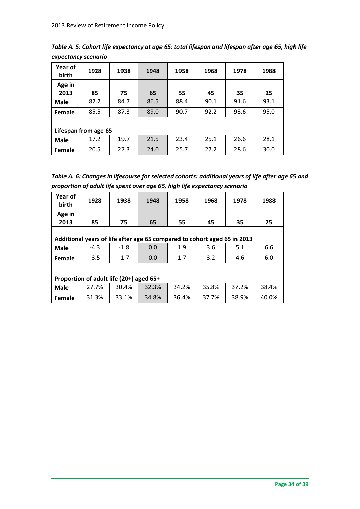| Table A. 5: Cohort life expectancy at age 65: total lifespan and lifespan after age 65, high life |  |
|---------------------------------------------------------------------------------------------------|--|
| expectancy scenario                                                                               |  |

| Year of<br>birth     | 1928 | 1938 | 1948 | 1958 | 1968 | 1978 | 1988 |  |
|----------------------|------|------|------|------|------|------|------|--|
| Age in<br>2013       | 85   | 75   | 65   | 55   | 45   | 35   | 25   |  |
| <b>Male</b>          | 82.2 | 84.7 | 86.5 | 88.4 | 90.1 | 91.6 | 93.1 |  |
| Female               | 85.5 | 87.3 | 89.0 | 90.7 | 92.2 | 93.6 | 95.0 |  |
| Lifespan from age 65 |      |      |      |      |      |      |      |  |
| <b>Male</b>          | 17.2 | 19.7 | 21.5 | 23.4 | 25.1 | 26.6 | 28.1 |  |
| Female               | 20.5 | 22.3 | 24.0 | 25.7 | 27.2 | 28.6 | 30.0 |  |

| Table A. 6: Changes in lifecourse for selected cohorts: additional years of life after age 65 and |
|---------------------------------------------------------------------------------------------------|
| proportion of adult life spent over age 65, high life expectancy scenario                         |

| Year of<br>birth                        | 1928                                                                     | 1938   | 1948  | 1958  | 1968  | 1978  | 1988  |  |  |
|-----------------------------------------|--------------------------------------------------------------------------|--------|-------|-------|-------|-------|-------|--|--|
| Age in                                  |                                                                          |        |       |       |       |       |       |  |  |
| 2013                                    | 85                                                                       | 75     | 65    | 55    | 45    | 35    | 25    |  |  |
|                                         |                                                                          |        |       |       |       |       |       |  |  |
|                                         | Additional years of life after age 65 compared to cohort aged 65 in 2013 |        |       |       |       |       |       |  |  |
| <b>Male</b>                             | $-4.3$                                                                   | $-1.8$ | 0.0   | 1.9   | 3.6   | 5.1   | 6.6   |  |  |
| Female                                  | $-3.5$                                                                   | $-1.7$ | 0.0   | 1.7   | 3.2   | 4.6   | 6.0   |  |  |
|                                         |                                                                          |        |       |       |       |       |       |  |  |
| Proportion of adult life (20+) aged 65+ |                                                                          |        |       |       |       |       |       |  |  |
| <b>Male</b>                             | 27.7%                                                                    | 30.4%  | 32.3% | 34.2% | 35.8% | 37.2% | 38.4% |  |  |
| Female                                  | 31.3%                                                                    | 33.1%  | 34.8% | 36.4% | 37.7% | 38.9% | 40.0% |  |  |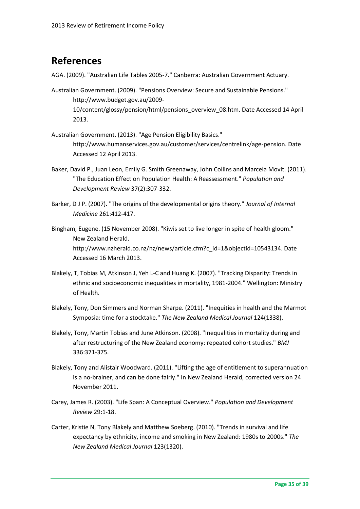### **References**

AGA. (2009). "Australian Life Tables 2005-7." Canberra: Australian Government Actuary.

- Australian Government. (2009). "Pensions Overview: Secure and Sustainable Pensions." http://www.budget.gov.au/2009- 10/content/glossy/pension/html/pensions\_overview\_08.htm. Date Accessed 14 April 2013.
- Australian Government. (2013). "Age Pension Eligibility Basics." http://www.humanservices.gov.au/customer/services/centrelink/age-pension. Date Accessed 12 April 2013.
- Baker, David P., Juan Leon, Emily G. Smith Greenaway, John Collins and Marcela Movit. (2011). "The Education Effect on Population Health: A Reassessment." *Population and Development Review* 37(2):307-332.
- Barker, D J P. (2007). "The origins of the developmental origins theory." *Journal of Internal Medicine* 261:412-417.
- Bingham, Eugene. (15 November 2008). "Kiwis set to live longer in spite of health gloom." New Zealand Herald. http://www.nzherald.co.nz/nz/news/article.cfm?c\_id=1&objectid=10543134. Date Accessed 16 March 2013.
- Blakely, T, Tobias M, Atkinson J, Yeh L-C and Huang K. (2007). "Tracking Disparity: Trends in ethnic and socioeconomic inequalities in mortality, 1981-2004." Wellington: Ministry of Health.
- Blakely, Tony, Don Simmers and Norman Sharpe. (2011). "Inequities in health and the Marmot Symposia: time for a stocktake." *The New Zealand Medical Journal* 124(1338).
- Blakely, Tony, Martin Tobias and June Atkinson. (2008). "Inequalities in mortality during and after restructuring of the New Zealand economy: repeated cohort studies." *BMJ* 336:371-375.
- Blakely, Tony and Alistair Woodward. (2011). "Lifting the age of entitlement to superannuation is a no-brainer, and can be done fairly." In New Zealand Herald, corrected version 24 November 2011.
- Carey, James R. (2003). "Life Span: A Conceptual Overview." *Population and Development Review* 29:1-18.
- Carter, Kristie N, Tony Blakely and Matthew Soeberg. (2010). "Trends in survival and life expectancy by ethnicity, income and smoking in New Zealand: 1980s to 2000s." *The New Zealand Medical Journal* 123(1320).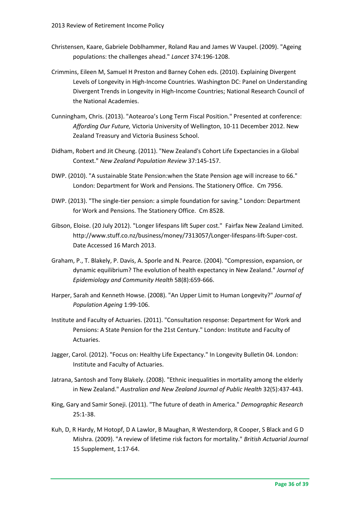- Christensen, Kaare, Gabriele Doblhammer, Roland Rau and James W Vaupel. (2009). "Ageing populations: the challenges ahead." *Lancet* 374:196-1208.
- Crimmins, Eileen M, Samuel H Preston and Barney Cohen eds. (2010). Explaining Divergent Levels of Longevity in High-Income Countries. Washington DC: Panel on Understanding Divergent Trends in Longevity in High-Income Countries; National Research Council of the National Academies.
- Cunningham, Chris. (2013). "Aotearoa's Long Term Fiscal Position." Presented at conference: *Affording Our Future,* Victoria University of Wellington, 10-11 December 2012. New Zealand Treasury and Victoria Business School.
- Didham, Robert and Jit Cheung. (2011). "New Zealand's Cohort Life Expectancies in a Global Context." *New Zealand Population Review* 37:145-157.
- DWP. (2010). "A sustainable State Pension:when the State Pension age will increase to 66." London: Department for Work and Pensions. The Stationery Office. Cm 7956.
- DWP. (2013). "The single-tier pension: a simple foundation for saving." London: Department for Work and Pensions. The Stationery Office. Cm 8528.
- Gibson, Eloise. (20 July 2012). "Longer lifespans lift Super cost." Fairfax New Zealand Limited. http://www.stuff.co.nz/business/money/7313057/Longer-lifespans-lift-Super-cost. Date Accessed 16 March 2013.
- Graham, P., T. Blakely, P. Davis, A. Sporle and N. Pearce. (2004). "Compression, expansion, or dynamic equilibrium? The evolution of health expectancy in New Zealand." *Journal of Epidemiology and Community Health* 58(8):659-666.
- Harper, Sarah and Kenneth Howse. (2008). "An Upper Limit to Human Longevity?" *Journal of Population Ageing* 1:99-106.
- Institute and Faculty of Actuaries. (2011). "Consultation response: Department for Work and Pensions: A State Pension for the 21st Century." London: Institute and Faculty of Actuaries.
- Jagger, Carol. (2012). "Focus on: Healthy Life Expectancy." In Longevity Bulletin 04. London: Institute and Faculty of Actuaries.
- Jatrana, Santosh and Tony Blakely. (2008). "Ethnic inequalities in mortality among the elderly in New Zealand." *Australian and New Zealand Journal of Public Health* 32(5):437-443.
- King, Gary and Samir Soneji. (2011). "The future of death in America." *Demographic Research* 25:1-38.
- Kuh, D, R Hardy, M Hotopf, D A Lawlor, B Maughan, R Westendorp, R Cooper, S Black and G D Mishra. (2009). "A review of lifetime risk factors for mortality." *British Actuarial Journal* 15 Supplement, 1:17-64.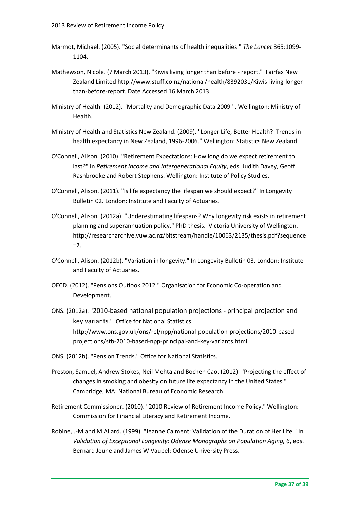- Marmot, Michael. (2005). "Social determinants of health inequalities." *The Lancet* 365:1099- 1104.
- Mathewson, Nicole. (7 March 2013). "Kiwis living longer than before report." Fairfax New Zealand Limited http://www.stuff.co.nz/national/health/8392031/Kiwis-living-longerthan-before-report. Date Accessed 16 March 2013.
- Ministry of Health. (2012). "Mortality and Demographic Data 2009 ". Wellington: Ministry of Health.
- Ministry of Health and Statistics New Zealand. (2009). "Longer Life, Better Health? Trends in health expectancy in New Zealand, 1996-2006." Wellington: Statistics New Zealand.
- O'Connell, Alison. (2010). "Retirement Expectations: How long do we expect retirement to last?" In *Retirement Income and Intergenerational Equity*, eds. Judith Davey, Geoff Rashbrooke and Robert Stephens. Wellington: Institute of Policy Studies.
- O'Connell, Alison. (2011). "Is life expectancy the lifespan we should expect?" In Longevity Bulletin 02. London: Institute and Faculty of Actuaries.
- O'Connell, Alison. (2012a). "Underestimating lifespans? Why longevity risk exists in retirement planning and superannuation policy." PhD thesis. Victoria University of Wellington. http://researcharchive.vuw.ac.nz/bitstream/handle/10063/2135/thesis.pdf?sequence  $=2.$
- O'Connell, Alison. (2012b). "Variation in longevity." In Longevity Bulletin 03. London: Institute and Faculty of Actuaries.
- OECD. (2012). "Pensions Outlook 2012." Organisation for Economic Co-operation and Development.
- ONS. (2012a). "2010-based national population projections principal projection and key variants." Office for National Statistics. http://www.ons.gov.uk/ons/rel/npp/national-population-projections/2010-basedprojections/stb-2010-based-npp-principal-and-key-variants.html.
- ONS. (2012b). "Pension Trends." Office for National Statistics.
- Preston, Samuel, Andrew Stokes, Neil Mehta and Bochen Cao. (2012). "Projecting the effect of changes in smoking and obesity on future life expectancy in the United States." Cambridge, MA: National Bureau of Economic Research.
- Retirement Commissioner. (2010). "2010 Review of Retirement Income Policy." Wellington: Commission for Financial Literacy and Retirement Income.
- Robine, J-M and M Allard. (1999). "Jeanne Calment: Validation of the Duration of Her Life." In *Validation of Exceptional Longevity: Odense Monographs on Population Aging, 6*, eds. Bernard Jeune and James W Vaupel: Odense University Press.